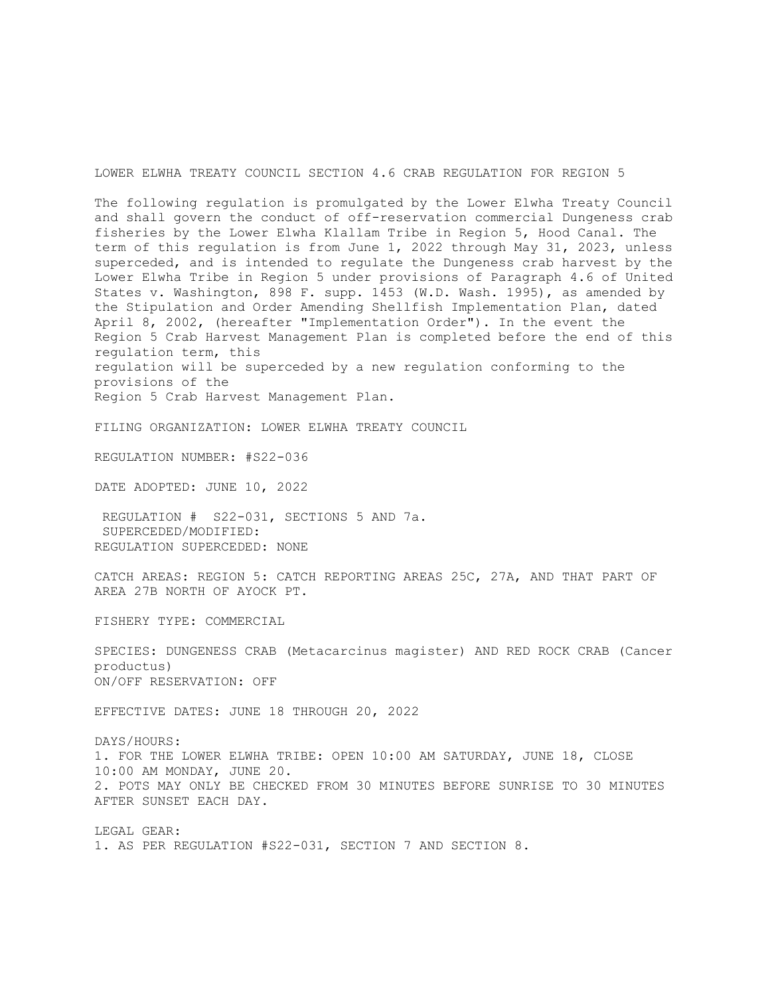LOWER ELWHA TREATY COUNCIL SECTION 4.6 CRAB REGULATION FOR REGION 5

The following regulation is promulgated by the Lower Elwha Treaty Council and shall govern the conduct of off-reservation commercial Dungeness crab fisheries by the Lower Elwha Klallam Tribe in Region 5, Hood Canal. The term of this regulation is from June 1, 2022 through May 31, 2023, unless superceded, and is intended to regulate the Dungeness crab harvest by the Lower Elwha Tribe in Region 5 under provisions of Paragraph 4.6 of United States v. Washington, 898 F. supp. 1453 (W.D. Wash. 1995), as amended by the Stipulation and Order Amending Shellfish Implementation Plan, dated April 8, 2002, (hereafter "Implementation Order"). In the event the Region 5 Crab Harvest Management Plan is completed before the end of this regulation term, this regulation will be superceded by a new regulation conforming to the provisions of the Region 5 Crab Harvest Management Plan.

FILING ORGANIZATION: LOWER ELWHA TREATY COUNCIL

REGULATION NUMBER: #S22-036

DATE ADOPTED: JUNE 10, 2022

REGULATION # S22-031, SECTIONS 5 AND 7a. SUPERCEDED/MODIFIED: REGULATION SUPERCEDED: NONE

CATCH AREAS: REGION 5: CATCH REPORTING AREAS 25C, 27A, AND THAT PART OF AREA 27B NORTH OF AYOCK PT.

FISHERY TYPE: COMMERCIAL

SPECIES: DUNGENESS CRAB (Metacarcinus magister) AND RED ROCK CRAB (Cancer productus) ON/OFF RESERVATION: OFF

EFFECTIVE DATES: JUNE 18 THROUGH 20, 2022

DAYS/HOURS: 1. FOR THE LOWER ELWHA TRIBE: OPEN 10:00 AM SATURDAY, JUNE 18, CLOSE 10:00 AM MONDAY, JUNE 20. 2. POTS MAY ONLY BE CHECKED FROM 30 MINUTES BEFORE SUNRISE TO 30 MINUTES AFTER SUNSET EACH DAY.

LEGAL GEAR: 1. AS PER REGULATION #S22-031, SECTION 7 AND SECTION 8.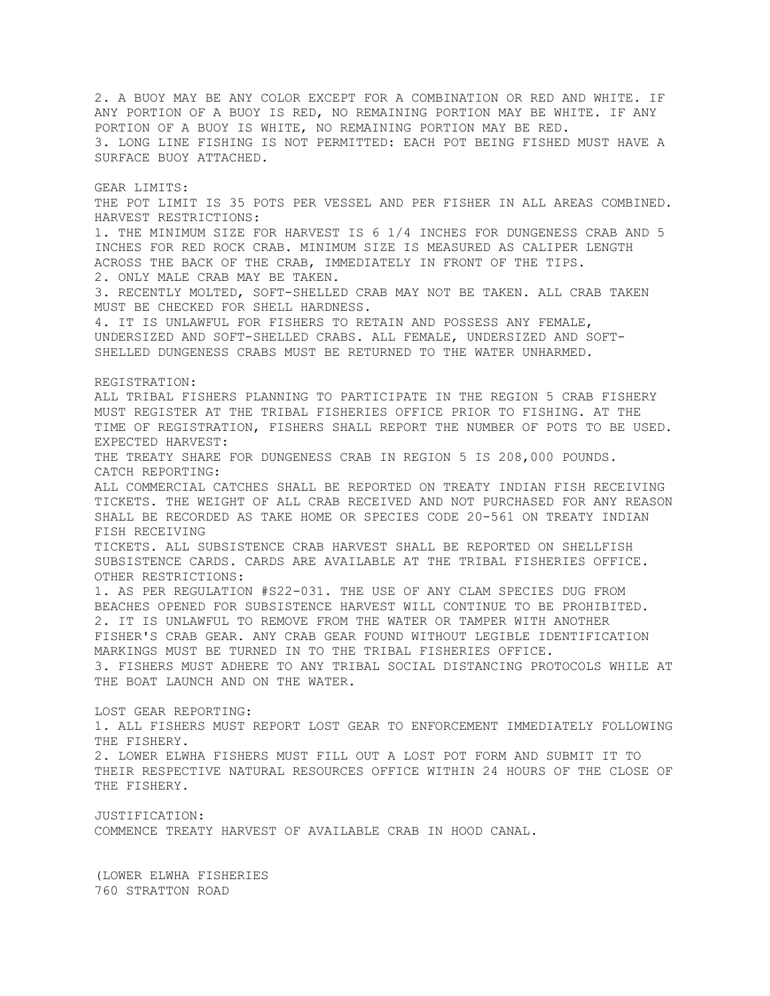2. A BUOY MAY BE ANY COLOR EXCEPT FOR A COMBINATION OR RED AND WHITE. IF ANY PORTION OF A BUOY IS RED, NO REMAINING PORTION MAY BE WHITE. IF ANY PORTION OF A BUOY IS WHITE, NO REMAINING PORTION MAY BE RED. 3. LONG LINE FISHING IS NOT PERMITTED: EACH POT BEING FISHED MUST HAVE A SURFACE BUOY ATTACHED. GEAR LIMITS: THE POT LIMIT IS 35 POTS PER VESSEL AND PER FISHER IN ALL AREAS COMBINED. HARVEST RESTRICTIONS: 1. THE MINIMUM SIZE FOR HARVEST IS 6 1/4 INCHES FOR DUNGENESS CRAB AND 5 INCHES FOR RED ROCK CRAB. MINIMUM SIZE IS MEASURED AS CALIPER LENGTH ACROSS THE BACK OF THE CRAB, IMMEDIATELY IN FRONT OF THE TIPS. 2. ONLY MALE CRAB MAY BE TAKEN. 3. RECENTLY MOLTED, SOFT-SHELLED CRAB MAY NOT BE TAKEN. ALL CRAB TAKEN MUST BE CHECKED FOR SHELL HARDNESS. 4. IT IS UNLAWFUL FOR FISHERS TO RETAIN AND POSSESS ANY FEMALE, UNDERSIZED AND SOFT-SHELLED CRABS. ALL FEMALE, UNDERSIZED AND SOFT-SHELLED DUNGENESS CRABS MUST BE RETURNED TO THE WATER UNHARMED. REGISTRATION: ALL TRIBAL FISHERS PLANNING TO PARTICIPATE IN THE REGION 5 CRAB FISHERY MUST REGISTER AT THE TRIBAL FISHERIES OFFICE PRIOR TO FISHING. AT THE TIME OF REGISTRATION, FISHERS SHALL REPORT THE NUMBER OF POTS TO BE USED. EXPECTED HARVEST: THE TREATY SHARE FOR DUNGENESS CRAB IN REGION 5 IS 208,000 POUNDS. CATCH REPORTING: ALL COMMERCIAL CATCHES SHALL BE REPORTED ON TREATY INDIAN FISH RECEIVING TICKETS. THE WEIGHT OF ALL CRAB RECEIVED AND NOT PURCHASED FOR ANY REASON SHALL BE RECORDED AS TAKE HOME OR SPECIES CODE 20-561 ON TREATY INDIAN FISH RECEIVING TICKETS. ALL SUBSISTENCE CRAB HARVEST SHALL BE REPORTED ON SHELLFISH SUBSISTENCE CARDS. CARDS ARE AVAILABLE AT THE TRIBAL FISHERIES OFFICE. OTHER RESTRICTIONS: 1. AS PER REGULATION #S22-031. THE USE OF ANY CLAM SPECIES DUG FROM BEACHES OPENED FOR SUBSISTENCE HARVEST WILL CONTINUE TO BE PROHIBITED. 2. IT IS UNLAWFUL TO REMOVE FROM THE WATER OR TAMPER WITH ANOTHER FISHER'S CRAB GEAR. ANY CRAB GEAR FOUND WITHOUT LEGIBLE IDENTIFICATION MARKINGS MUST BE TURNED IN TO THE TRIBAL FISHERIES OFFICE. 3. FISHERS MUST ADHERE TO ANY TRIBAL SOCIAL DISTANCING PROTOCOLS WHILE AT THE BOAT LAUNCH AND ON THE WATER. LOST GEAR REPORTING: 1. ALL FISHERS MUST REPORT LOST GEAR TO ENFORCEMENT IMMEDIATELY FOLLOWING THE FISHERY. 2. LOWER ELWHA FISHERS MUST FILL OUT A LOST POT FORM AND SUBMIT IT TO THEIR RESPECTIVE NATURAL RESOURCES OFFICE WITHIN 24 HOURS OF THE CLOSE OF THE FISHERY. JUSTIFICATION: COMMENCE TREATY HARVEST OF AVAILABLE CRAB IN HOOD CANAL. (LOWER ELWHA FISHERIES

760 STRATTON ROAD